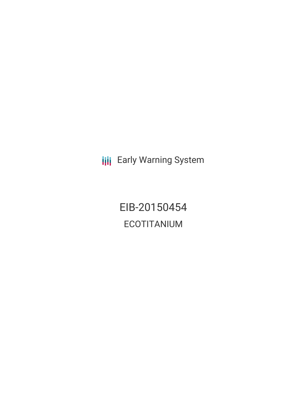**III** Early Warning System

EIB-20150454 ECOTITANIUM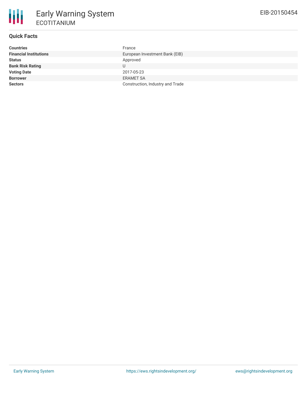# **Quick Facts**

| <b>Countries</b>              | France                           |
|-------------------------------|----------------------------------|
| <b>Financial Institutions</b> | European Investment Bank (EIB)   |
| <b>Status</b>                 | Approved                         |
| <b>Bank Risk Rating</b>       | U                                |
| <b>Voting Date</b>            | 2017-05-23                       |
| <b>Borrower</b>               | <b>ERAMET SA</b>                 |
| <b>Sectors</b>                | Construction, Industry and Trade |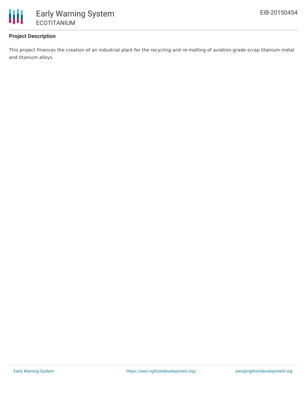

# **Project Description**

This project finances the creation of an industrial plant for the recycling and re-melting of aviation-grade scrap titanium metal and titanium alloys.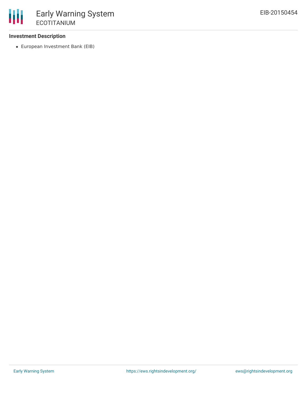## **Investment Description**

European Investment Bank (EIB)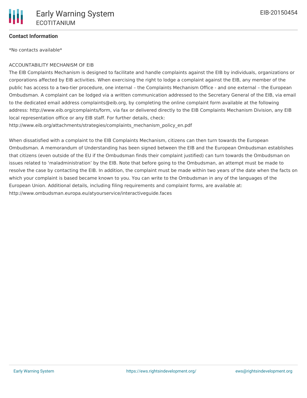### **Contact Information**

\*No contacts available\*

#### ACCOUNTABILITY MECHANISM OF EIB

The EIB Complaints Mechanism is designed to facilitate and handle complaints against the EIB by individuals, organizations or corporations affected by EIB activities. When exercising the right to lodge a complaint against the EIB, any member of the public has access to a two-tier procedure, one internal – the Complaints Mechanism Office - and one external – the European Ombudsman. A complaint can be lodged via a written communication addressed to the Secretary General of the EIB, via email to the dedicated email address complaints@eib.org, by completing the online complaint form available at the following address: http://www.eib.org/complaints/form, via fax or delivered directly to the EIB Complaints Mechanism Division, any EIB local representation office or any EIB staff. For further details, check:

http://www.eib.org/attachments/strategies/complaints\_mechanism\_policy\_en.pdf

When dissatisfied with a complaint to the EIB Complaints Mechanism, citizens can then turn towards the European Ombudsman. A memorandum of Understanding has been signed between the EIB and the European Ombudsman establishes that citizens (even outside of the EU if the Ombudsman finds their complaint justified) can turn towards the Ombudsman on issues related to 'maladministration' by the EIB. Note that before going to the Ombudsman, an attempt must be made to resolve the case by contacting the EIB. In addition, the complaint must be made within two years of the date when the facts on which your complaint is based became known to you. You can write to the Ombudsman in any of the languages of the European Union. Additional details, including filing requirements and complaint forms, are available at: http://www.ombudsman.europa.eu/atyourservice/interactiveguide.faces